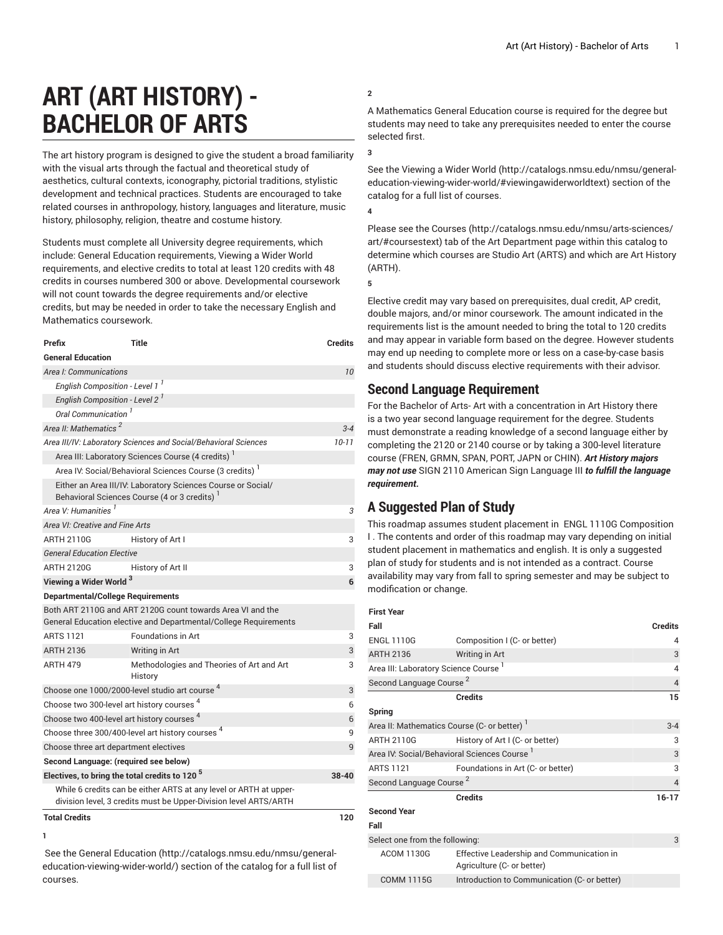# **ART (ART HISTORY) - BACHELOR OF ARTS**

<span id="page-0-0"></span>The art history program is designed to give the student a broad familiarity with the visual arts through the factual and theoretical study of aesthetics, cultural contexts, iconography, pictorial traditions, stylistic development and technical practices. Students are encouraged to take related courses in anthropology, history, languages and literature, music history, philosophy, religion, theatre and costume history.

Students must complete all University degree requirements, which include: General Education requirements, Viewing a Wider World requirements, and elective credits to total at least 120 credits with 48 credits in courses numbered 300 or above. Developmental coursework will not count towards the degree requirements and/or elective credits, but may be needed in order to take the necessary English and Mathematics coursework.

| Prefix                                                                                                                                | <b>Title</b>                                         | <b>Credits</b> |  |
|---------------------------------------------------------------------------------------------------------------------------------------|------------------------------------------------------|----------------|--|
| <b>General Education</b>                                                                                                              |                                                      |                |  |
| Area I: Communications                                                                                                                | 10                                                   |                |  |
| English Composition - Level 1 <sup>1</sup>                                                                                            |                                                      |                |  |
| English Composition - Level 2 <sup>1</sup>                                                                                            |                                                      |                |  |
| Oral Communication <sup>1</sup>                                                                                                       |                                                      |                |  |
| Area II: Mathematics <sup>2</sup>                                                                                                     |                                                      | $3 - 4$        |  |
| Area III/IV: Laboratory Sciences and Social/Behavioral Sciences                                                                       | $10 - 11$                                            |                |  |
| Area III: Laboratory Sciences Course (4 credits)                                                                                      |                                                      |                |  |
| Area IV: Social/Behavioral Sciences Course (3 credits) <sup>1</sup>                                                                   |                                                      |                |  |
| Either an Area III/IV: Laboratory Sciences Course or Social/<br>Behavioral Sciences Course (4 or 3 credits)                           |                                                      |                |  |
| Area V: Humanities <sup>1</sup>                                                                                                       |                                                      | 3              |  |
| Area VI: Creative and Fine Arts                                                                                                       |                                                      |                |  |
| ARTH 2110G                                                                                                                            | History of Art I                                     | 3              |  |
| <b>General Education Elective</b>                                                                                                     |                                                      |                |  |
| <b>ARTH 2120G</b>                                                                                                                     | History of Art II                                    | 3              |  |
| Viewing a Wider World <sup>3</sup>                                                                                                    | 6                                                    |                |  |
| <b>Departmental/College Requirements</b>                                                                                              |                                                      |                |  |
| Both ART 2110G and ART 2120G count towards Area VI and the<br>General Education elective and Departmental/College Requirements        |                                                      |                |  |
| <b>ARTS 1121</b>                                                                                                                      | <b>Foundations in Art</b>                            | 3              |  |
| <b>ARTH 2136</b>                                                                                                                      | Writing in Art                                       | 3              |  |
| <b>ARTH 479</b>                                                                                                                       | Methodologies and Theories of Art and Art<br>History | 3              |  |
| Choose one 1000/2000-level studio art course <sup>4</sup>                                                                             | 3                                                    |                |  |
| Choose two 300-level art history courses <sup>4</sup>                                                                                 | 6                                                    |                |  |
| Choose two 400-level art history courses <sup>4</sup>                                                                                 | 6                                                    |                |  |
| Choose three 300/400-level art history courses <sup>4</sup>                                                                           | 9                                                    |                |  |
| Choose three art department electives                                                                                                 |                                                      |                |  |
| Second Language: (required see below)                                                                                                 |                                                      |                |  |
| Electives, to bring the total credits to 120 <sup>5</sup>                                                                             | 38-40                                                |                |  |
| While 6 credits can be either ARTS at any level or ARTH at upper-<br>division level, 3 credits must be Upper-Division level ARTS/ARTH |                                                      |                |  |
| <b>Total Credits</b>                                                                                                                  |                                                      | 120            |  |

#### **1**

 See the General [Education \(http://catalogs.nmsu.edu/nmsu/general](http://catalogs.nmsu.edu/nmsu/general-education-viewing-wider-world/)[education-viewing-wider-world/\)](http://catalogs.nmsu.edu/nmsu/general-education-viewing-wider-world/) section of the catalog for a full list of courses.

### **2**

A Mathematics General Education course is required for the degree but students may need to take any prerequisites needed to enter the course selected first.

#### **3**

See the [Viewing](http://catalogs.nmsu.edu/nmsu/general-education-viewing-wider-world/#viewingawiderworldtext) a Wider World [\(http://catalogs.nmsu.edu/nmsu/general](http://catalogs.nmsu.edu/nmsu/general-education-viewing-wider-world/#viewingawiderworldtext)[education-viewing-wider-world/#viewingawiderworldtext\)](http://catalogs.nmsu.edu/nmsu/general-education-viewing-wider-world/#viewingawiderworldtext) section of the catalog for a full list of courses.

#### **4**

Please see the [Courses](http://catalogs.nmsu.edu/nmsu/arts-sciences/art/#coursestext) ([http://catalogs.nmsu.edu/nmsu/arts-sciences/](http://catalogs.nmsu.edu/nmsu/arts-sciences/art/#coursestext) [art/#coursestext](http://catalogs.nmsu.edu/nmsu/arts-sciences/art/#coursestext)) tab of the Art Department page within this catalog to determine which courses are Studio Art (ARTS) and which are Art History (ARTH).

**5**

Elective credit may vary based on prerequisites, dual credit, AP credit, double majors, and/or minor coursework. The amount indicated in the requirements list is the amount needed to bring the total to 120 credits and may appear in variable form based on the degree. However students may end up needing to complete more or less on a case-by-case basis and students should discuss elective requirements with their advisor.

## **Second Language Requirement**

For the Bachelor of Arts- Art with a concentration in Art History there is a two year second language requirement for the degree. Students must demonstrate a reading knowledge of a second language either by completing the 2120 or 2140 course or by taking a 300-level literature course (FREN, GRMN, SPAN, PORT, JAPN or CHIN). *Art History majors may not use* SIGN 2110 American Sign Language III *to fulfill the language requirement.*

# **A Suggested Plan of Study**

This roadmap assumes student placement in ENGL 1110G Composition I . The contents and order of this roadmap may vary depending on initial student placement in mathematics and english. It is only a suggested plan of study for students and is not intended as a contract. Course availability may vary from fall to spring semester and may be subject to modification or change.

| ואי | H |
|-----|---|
|-----|---|

| Fall                                             |                                                                         | <b>Credits</b> |
|--------------------------------------------------|-------------------------------------------------------------------------|----------------|
| <b>ENGL 1110G</b>                                | Composition I (C- or better)                                            | 4              |
| <b>ARTH 2136</b>                                 | Writing in Art                                                          | 3              |
| Area III: Laboratory Science Course <sup>1</sup> | $\overline{4}$                                                          |                |
| Second Language Course <sup>2</sup>              | $\overline{4}$                                                          |                |
|                                                  | <b>Credits</b>                                                          | 15             |
| Spring                                           |                                                                         |                |
| Area II: Mathematics Course (C- or better)       | $3 - 4$                                                                 |                |
| <b>ARTH 2110G</b>                                | History of Art I (C- or better)                                         | 3              |
| Area IV: Social/Behavioral Sciences Course 1     |                                                                         | 3              |
| <b>ARTS 1121</b>                                 | Foundations in Art (C- or better)                                       | 3              |
| Second Language Course <sup>2</sup>              | $\overline{4}$                                                          |                |
|                                                  | <b>Credits</b>                                                          | $16 - 17$      |
| <b>Second Year</b>                               |                                                                         |                |
| Fall                                             |                                                                         |                |
| Select one from the following:                   |                                                                         | 3              |
| <b>ACOM 1130G</b>                                | Effective Leadership and Communication in<br>Agriculture (C- or better) |                |
| <b>COMM 1115G</b>                                | Introduction to Communication (C- or better)                            |                |